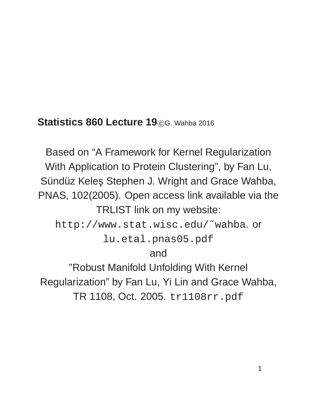#### **Statistics 860 Lecture 19** CG. Wahba 2016

Based on "A Framework for Kernel Regularization With Application to Protein Clustering", by Fan Lu, Sündüz Keleş Stephen J. Wright and Grace Wahba, PNAS, 102(2005). Open access link available via the TRLIST link on my website:

http://www.stat.wisc.edu/˜wahba. or lu.etal.pnas05.pdf

#### and

"Robust Manifold Unfolding With Kernel Regularization" by Fan Lu, Yi Lin and Grace Wahba, TR 1108, Oct. 2005. tr1108rr.pdf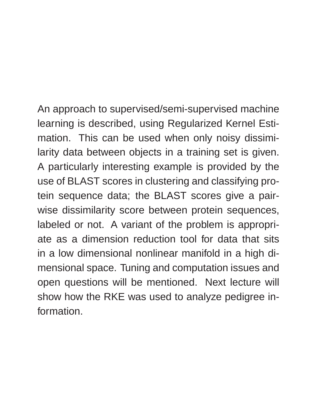An approach to supervised/semi-supervised machine learning is described, using Regularized Kernel Estimation. This can be used when only noisy dissimilarity data between objects in a training set is given. A particularly interesting example is provided by the use of BLAST scores in clustering and classifying protein sequence data; the BLAST scores give a pairwise dissimilarity score between protein sequences, labeled or not. A variant of the problem is appropriate as a dimension reduction tool for data that sits in a low dimensional nonlinear manifold in a high dimensional space. Tuning and computation issues and open questions will be mentioned. Next lecture will show how the RKE was used to analyze pedigree information.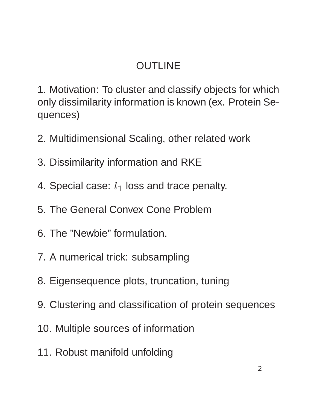# OUTLINE

1. Motivation: To cluster and classify objects for which only dissimilarity information is known (ex. Protein Sequences)

- 2. Multidimensional Scaling, other related work
- 3. Dissimilarity information and RKE
- 4. Special case:  $l_1$  loss and trace penalty.
- 5. The General Convex Cone Problem
- 6. The "Newbie" formulation.
- 7. A numerical trick: subsampling
- 8. Eigensequence plots, truncation, tuning
- 9. Clustering and classification of protein sequences
- 10. Multiple sources of information
- 11. Robust manifold unfolding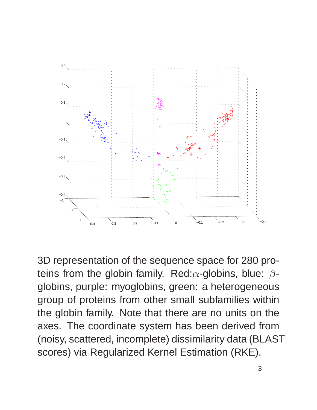

3D representation of the sequence space for 280 proteins from the globin family. Red: $\alpha$ -globins, blue:  $\beta$ globins, purple: myoglobins, green: a heterogeneous group of proteins from other small subfamilies within the globin family. Note that there are no units on the axes. The coordinate system has been derived from (noisy, scattered, incomplete) dissimilarity data (BLAST scores) via Regularized Kernel Estimation (RKE).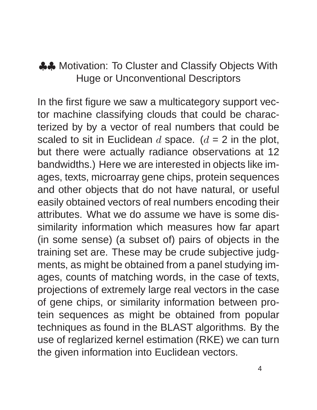### ♣♣ Motivation: To Cluster and Classify Objects With Huge or Unconventional Descriptors

In the first figure we saw a multicategory support vector machine classifying clouds that could be characterized by by a vector of real numbers that could be scaled to sit in Euclidean d space.  $(d = 2$  in the plot, but there were actually radiance observations at 12 bandwidths.) Here we are interested in objects like images, texts, microarray gene chips, protein sequences and other objects that do not have natural, or useful easily obtained vectors of real numbers encoding their attributes. What we do assume we have is some dissimilarity information which measures how far apart (in some sense) (a subset of) pairs of objects in the training set are. These may be crude subjective judgments, as might be obtained from a panel studying images, counts of matching words, in the case of texts, projections of extremely large real vectors in the case of gene chips, or similarity information between protein sequences as might be obtained from popular techniques as found in the BLAST algorithms. By the use of reglarized kernel estimation (RKE) we can turn the given information into Euclidean vectors.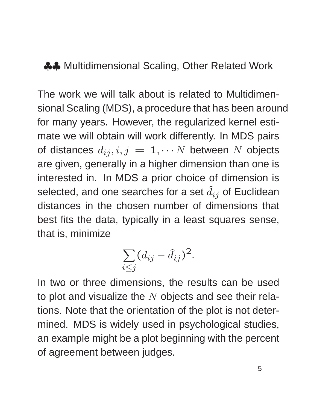#### ♣♣ Multidimensional Scaling, Other Related Work

The work we will talk about is related to Multidimensional Scaling (MDS), a procedure that has been around for many years. However, the regularized kernel estimate we will obtain will work differently. In MDS pairs of distances  $d_{ij}, i, j = 1, \cdots N$  between N objects are given, generally in a higher dimension than one is interested in. In MDS a prior choice of dimension is selected, and one searches for a set  $\hat{d}_{ij}$  of Euclidean distances in the chosen number of dimensions that best fits the data, typically in a least squares sense, that is, minimize

$$
\sum_{i\leq j} (d_{ij} - \hat{d}_{ij})^2.
$$

In two or three dimensions, the results can be used to plot and visualize the  $N$  objects and see their relations. Note that the orientation of the plot is not determined. MDS is widely used in psychological studies, an example might be a plot beginning with the percent of agreement between judges.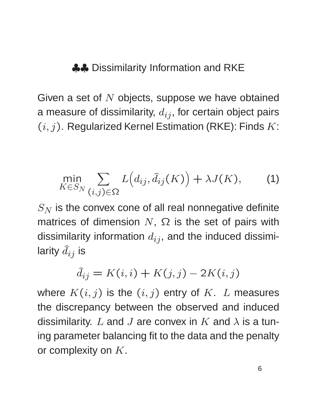♣♣ Dissimilarity Information and RKE

Given a set of  $N$  objects, suppose we have obtained a measure of dissimilarity,  $d_{ij}$ , for certain object pairs  $(i, j)$ . Regularized Kernel Estimation (RKE): Finds K:

$$
\min_{K \in S_N} \sum_{(i,j) \in \Omega} L\big(d_{ij}, \hat{d}_{ij}(K)\big) + \lambda J(K), \tag{1}
$$

 $S_N$  is the convex cone of all real nonnegative definite matrices of dimension  $N$ ,  $\Omega$  is the set of pairs with dissimilarity information  $d_{ij}$ , and the induced dissimilarity  $\widehat{d}_{ij}$  is

$$
\hat{d}_{ij} = K(i,i) + K(j,j) - 2K(i,j)
$$

where  $K(i, j)$  is the  $(i, j)$  entry of K. L measures the discrepancy between the observed and induced dissimilarity. L and J are convex in K and  $\lambda$  is a tuning parameter balancing fit to the data and the penalty or complexity on  $K$ .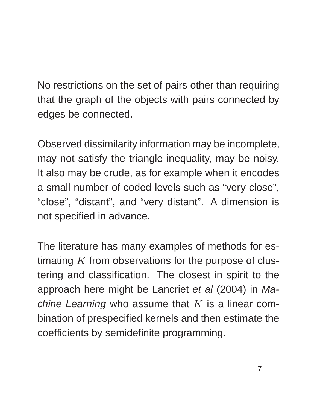No restrictions on the set of pairs other than requiring that the graph of the objects with pairs connected by edges be connected.

Observed dissimilarity information may be incomplete, may not satisfy the triangle inequality, may be noisy. It also may be crude, as for example when it encodes a small number of coded levels such as "very close", "close", "distant", and "very distant". A dimension is not specified in advance.

The literature has many examples of methods for estimating  $K$  from observations for the purpose of clustering and classification. The closest in spirit to the approach here might be Lancriet et al (2004) in Machine Learning who assume that  $K$  is a linear combination of prespecified kernels and then estimate the coefficients by semidefinite programming.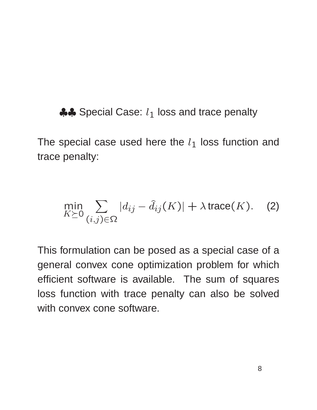$\clubsuit$  Special Case:  $l_1$  loss and trace penalty

The special case used here the  $l_1$  loss function and trace penalty:

$$
\min_{K \succeq 0} \sum_{(i,j) \in \Omega} |d_{ij} - \hat{d}_{ij}(K)| + \lambda \operatorname{trace}(K). \quad (2)
$$

This formulation can be posed as a special case of a general convex cone optimization problem for which efficient software is available. The sum of squares loss function with trace penalty can also be solved with convex cone software.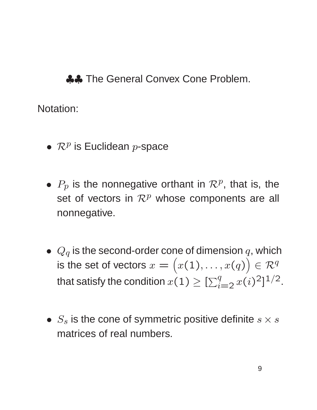♣♣ The General Convex Cone Problem.

Notation:

- $\mathcal{R}^p$  is Euclidean p-space
- $P_p$  is the nonnegative orthant in  $\mathcal{R}^p$ , that is, the set of vectors in  $\mathcal{R}^p$  whose components are all nonnegative.
- $Q_q$  is the second-order cone of dimension  $q$ , which is the set of vectors  $x = \big(x(1), \ldots, x(q)\big) \in \mathcal{R}^q$ that satisfy the condition  $x(1) \geq [\sum_{i=2}^{q} x(i)^2]^{1/2}$ .
- $S_s$  is the cone of symmetric positive definite  $s \times s$ matrices of real numbers.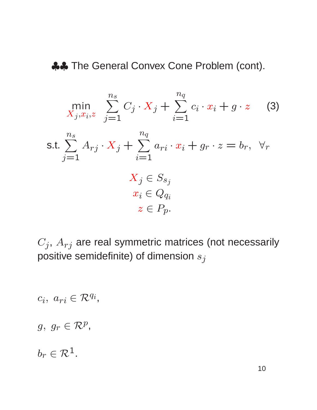♣♣ The General Convex Cone Problem (cont).

$$
\min_{X_j, x_i, z} \sum_{j=1}^{n_s} C_j \cdot X_j + \sum_{i=1}^{n_q} c_i \cdot x_i + g \cdot z \quad (3)
$$
\ns.t.

\n
$$
\sum_{j=1}^{n_s} A_{rj} \cdot X_j + \sum_{i=1}^{n_q} a_{ri} \cdot x_i + g_r \cdot z = b_r, \ \forall_r
$$
\n
$$
X_j \in S_{s_j}
$$
\n
$$
x_i \in Q_{q_i}
$$
\n
$$
z \in P_p.
$$

 $C_j, \, A_{rj}$  are real symmetric matrices (not necessarily positive semidefinite) of dimension  $s_j$ 

$$
c_i, a_{ri} \in \mathcal{R}^{q_i},
$$
  

$$
g, g_r \in \mathcal{R}^p,
$$
  

$$
b_r \in \mathcal{R}^1.
$$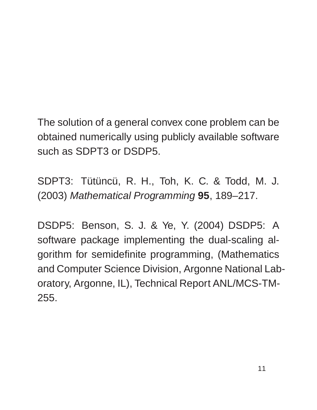The solution of a general convex cone problem can be obtained numerically using publicly available software such as SDPT3 or DSDP5.

SDPT3: Tütüncü, R. H., Toh, K. C. & Todd, M. J. (2003) Mathematical Programming **95**, 189–217.

DSDP5: Benson, S. J. & Ye, Y. (2004) DSDP5: A software package implementing the dual-scaling algorithm for semidefinite programming, (Mathematics and Computer Science Division, Argonne National Laboratory, Argonne, IL), Technical Report ANL/MCS-TM-255.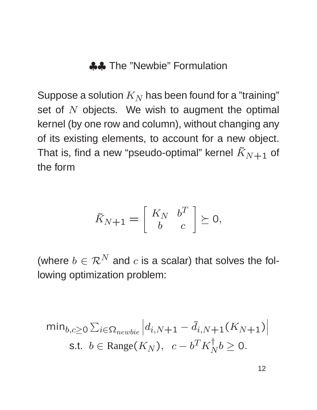#### ♣♣ The "Newbie" Formulation

Suppose a solution  $K_N$  has been found for a "training" set of  $N$  objects. We wish to augment the optimal kernel (by one row and column), without changing any of its existing elements, to account for a new object. That is, find a new "pseudo-optimal" kernel  $\tilde{K}_{N+1}$  of the form

$$
\tilde{K}_{N+1} = \left[ \begin{array}{cc} K_N & b^T \\ b & c \end{array} \right] \succeq 0,
$$

(where  $b \in \mathcal{R}^N$  and c is a scalar) that solves the following optimization problem:

$$
\min_{b,c\geq 0} \sum_{i\in\Omega_{newbie}} \left| d_{i,N+1} - \hat{d}_{i,N+1}(K_{N+1}) \right|
$$
\ns.t.

\n
$$
b \in \text{Range}(K_N), \quad c - b^T K_N^{\dagger} b \geq 0.
$$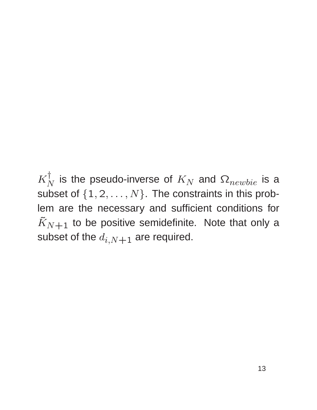$K_{\Lambda}^{\intercal}$  $_N^1$  is the pseudo-inverse of  $K_N$  and  $\Omega_{newbie}$  is a subset of  $\{1, 2, ..., N\}$ . The constraints in this problem are the necessary and sufficient conditions for  $\tilde{K}_{N+1}$  to be positive semidefinite. Note that only a subset of the  $d_{i,N+1}$  are required.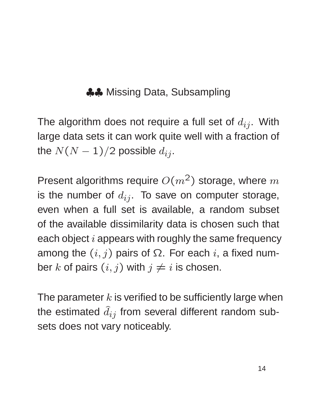## ♣♣ Missing Data, Subsampling

The algorithm does not require a full set of  $d_{ij}$ . With large data sets it can work quite well with a fraction of the  $N(N-1)/2$  possible  $d_{ij}$ .

Present algorithms require  $O(m^2)$  storage, where m is the number of  $d_{ij}$ . To save on computer storage, even when a full set is available, a random subset of the available dissimilarity data is chosen such that each object  $i$  appears with roughly the same frequency among the  $(i, j)$  pairs of  $\Omega$ . For each i, a fixed number k of pairs  $(i, j)$  with  $j \neq i$  is chosen.

The parameter  $k$  is verified to be sufficiently large when the estimated  $\hat{d}_{ij}$  from several different random subsets does not vary noticeably.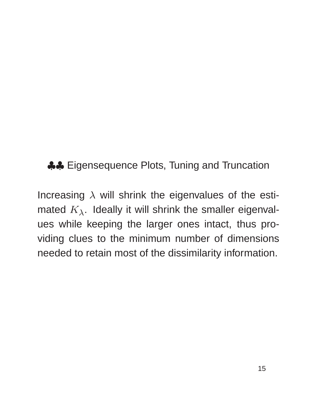♣♣ Eigensequence Plots, Tuning and Truncation

Increasing  $\lambda$  will shrink the eigenvalues of the estimated  $K_{\lambda}$ . Ideally it will shrink the smaller eigenvalues while keeping the larger ones intact, thus providing clues to the minimum number of dimensions needed to retain most of the dissimilarity information.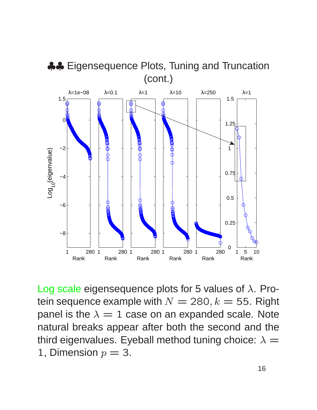

Log scale eigensequence plots for 5 values of  $\lambda$ . Protein sequence example with  $N = 280, k = 55$ . Right panel is the  $\lambda = 1$  case on an expanded scale. Note natural breaks appear after both the second and the third eigenvalues. Eyeball method tuning choice:  $\lambda =$ 1, Dimension  $p = 3$ .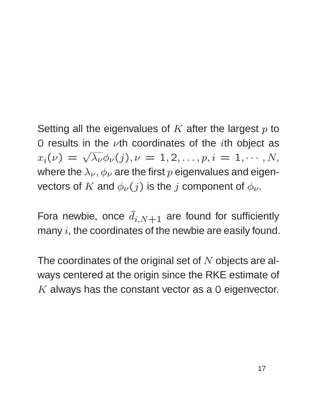Setting all the eigenvalues of  $K$  after the largest  $p$  to 0 results in the  $\nu$ th coordinates of the *i*th object as  $x_i(\nu) = \sqrt{\lambda_{\nu}} \phi_{\nu}(j), \nu = 1, 2, \ldots, p, i = 1, \cdots, N,$ where the  $\lambda_{\nu}, \phi_{\nu}$  are the first p eigenvalues and eigenvectors of K and  $\phi_{\nu}(j)$  is the j component of  $\phi_{\nu}$ .

Fora newbie, once  $\hat{d}_{i,N+1}$  are found for sufficiently many  $i$ , the coordinates of the newbie are easily found.

The coordinates of the original set of  $N$  objects are always centered at the origin since the RKE estimate of  $K$  always has the constant vector as a 0 eigenvector.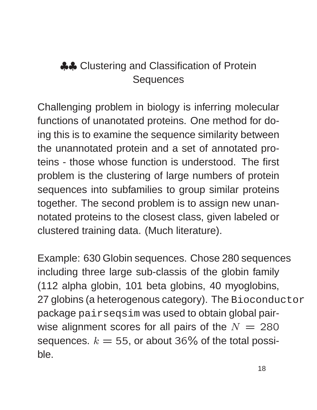# ♣♣ Clustering and Classification of Protein **Sequences**

Challenging problem in biology is inferring molecular functions of unanotated proteins. One method for doing this is to examine the sequence similarity between the unannotated protein and a set of annotated proteins - those whose function is understood. The first problem is the clustering of large numbers of protein sequences into subfamilies to group similar proteins together. The second problem is to assign new unannotated proteins to the closest class, given labeled or clustered training data. (Much literature).

Example: 630 Globin sequences. Chose 280 sequences including three large sub-classis of the globin family (112 alpha globin, 101 beta globins, 40 myoglobins, 27 globins (a heterogenous category). The Bioconductor package pairseqsim was used to obtain global pairwise alignment scores for all pairs of the  $N = 280$ sequences.  $k = 55$ , or about 36% of the total possible.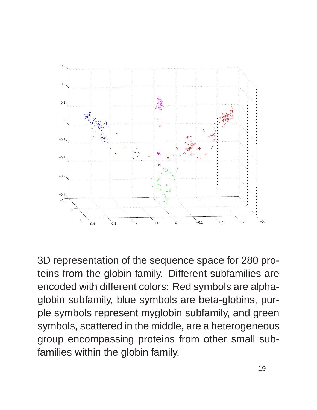

3D representation of the sequence space for 280 proteins from the globin family. Different subfamilies are encoded with different colors: Red symbols are alphaglobin subfamily, blue symbols are beta-globins, purple symbols represent myglobin subfamily, and green symbols, scattered in the middle, are a heterogeneous group encompassing proteins from other small subfamilies within the globin family.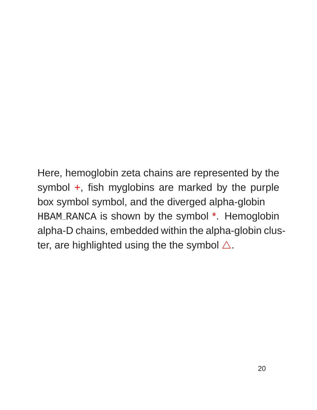Here, hemoglobin zeta chains are represented by the symbol +, fish myglobins are marked by the purple box symbol symbol, and the diverged alpha-globin HBAM RANCA is shown by the symbol \*. Hemoglobin alpha-D chains, embedded within the alpha-globin cluster, are highlighted using the the symbol  $\triangle$ .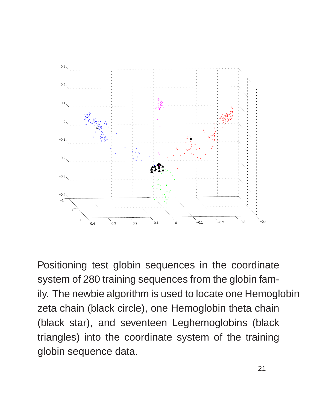

Positioning test globin sequences in the coordinate system of 280 training sequences from the globin family. The newbie algorithm is used to locate one Hemoglobin zeta chain (black circle), one Hemoglobin theta chain (black star), and seventeen Leghemoglobins (black triangles) into the coordinate system of the training globin sequence data.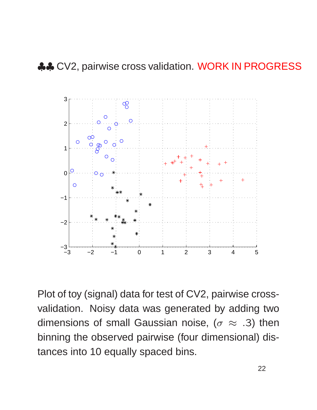

Plot of toy (signal) data for test of CV2, pairwise crossvalidation. Noisy data was generated by adding two dimensions of small Gaussian noise, ( $\sigma \approx .3$ ) then binning the observed pairwise (four dimensional) distances into 10 equally spaced bins.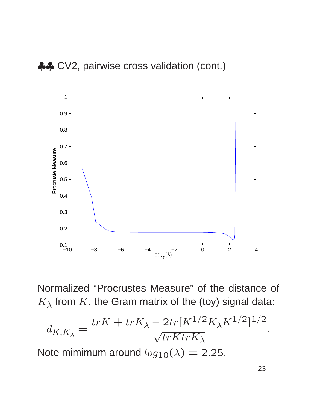

Normalized "Procrustes Measure" of the distance of  $K_{\lambda}$  from K, the Gram matrix of the (toy) signal data:

$$
d_{K,K_{\lambda}} = \frac{trK + trK_{\lambda} - 2tr[K^{1/2}K_{\lambda}K^{1/2}]^{1/2}}{\sqrt{trKtrK_{\lambda}}}.
$$

Note mimimum around  $log_{10}(\lambda) = 2.25$ .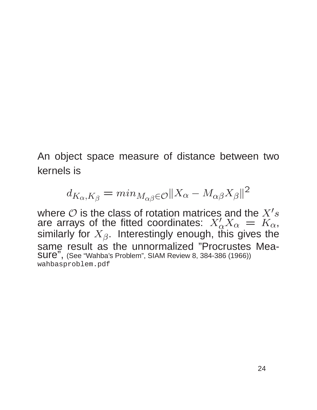An object space measure of distance between two kernels is

$$
d_{K_{\alpha}, K_{\beta}} = min_{M_{\alpha\beta} \in \mathcal{O}} ||X_{\alpha} - M_{\alpha\beta} X_{\beta}||^2
$$

where  $\mathcal O$  is the class of rotation matrices and the  $X's$ are arrays of the fitted coordinates:  $X'_{\alpha}X_{\alpha} = K_{\alpha}$ , similarly for  $X_{\beta}$ . Interestingly enough, this gives the same result as the unnormalized "Procrustes Measure", (See "Wahba's Problem", SIAM Review 8, 384-386 (1966)) wahbasproblem.pdf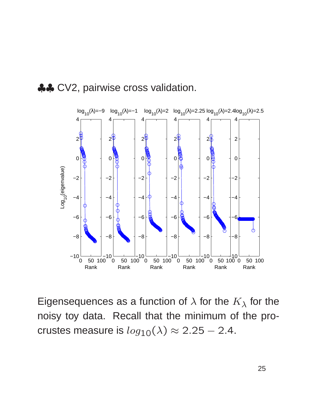



Eigensequences as a function of  $\lambda$  for the  $K_{\lambda}$  for the noisy toy data. Recall that the minimum of the procrustes measure is  $log_{10}(\lambda) \approx 2.25 - 2.4$ .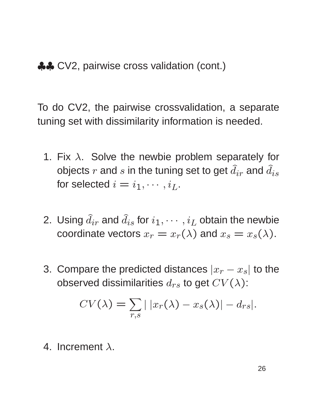♣♣ CV2, pairwise cross validation (cont.)

To do CV2, the pairwise crossvalidation, a separate tuning set with dissimilarity information is needed.

- 1. Fix  $\lambda$ . Solve the newbie problem separately for objects  $r$  and  $s$  in the tuning set to get  $\widehat{d}_{ir}$  and  $\widehat{d}_{is}$ for selected  $i = i_1, \cdots, i_L$ .
- 2. Using  $\widehat{d}_{ir}$  and  $\widehat{d}_{is}$  for  $i_1, \cdots, i_L$  obtain the newbie coordinate vectors  $x_r = x_r(\lambda)$  and  $x_s = x_s(\lambda)$ .
- 3. Compare the predicted distances  $|x_r x_s|$  to the observed dissimilarities  $d_{rs}$  to get  $CV(\lambda)$ :

$$
CV(\lambda) = \sum_{r,s} |x_r(\lambda) - x_s(\lambda)| - d_{rs}|.
$$

4. Increment  $\lambda$ .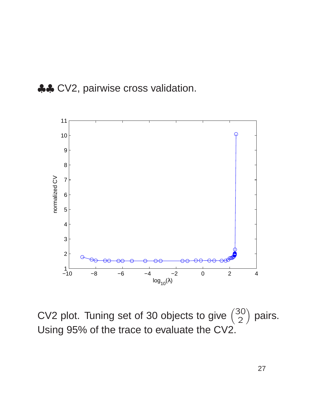



CV2 plot. Tuning set of 30 objects to give  $\binom{30}{2}$  pairs. Using 95% of the trace to evaluate the CV2.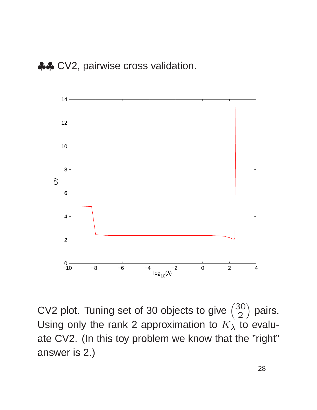

CV2 plot. Tuning set of 30 objects to give  $\binom{30}{2}$ 2 pairs. Using only the rank 2 approximation to  $K_\lambda$  to evaluate CV2. (In this toy problem we know that the "right" answer is 2.)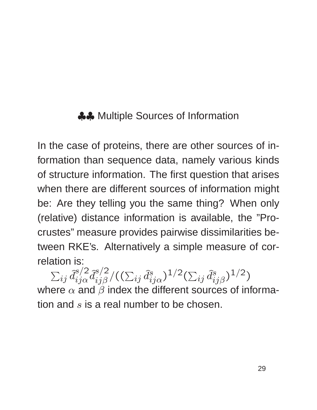## ♣♣ Multiple Sources of Information

In the case of proteins, there are other sources of information than sequence data, namely various kinds of structure information. The first question that arises when there are different sources of information might be: Are they telling you the same thing? When only (relative) distance information is available, the "Procrustes" measure provides pairwise dissimilarities between RKE's. Alternatively a simple measure of correlation is:

 $\sum_{ij} \widehat{d}^{s/2}_{ij\alpha} \widehat{d}^{s/2}_{ij\beta}$  $i$ j $\beta^{3/2}/((\sum_{ij}\widehat d_{ij\alpha}^{s})^{1/2}(\sum_{ij}\widehat d_{ij\beta}^{s})^{1/2})$ where  $\alpha$  and  $\beta$  index the different sources of information and  $s$  is a real number to be chosen.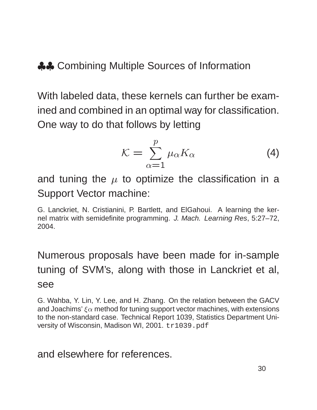♣♣ Combining Multiple Sources of Information

With labeled data, these kernels can further be examined and combined in an optimal way for classification. One way to do that follows by letting

$$
\mathcal{K} = \sum_{\alpha=1}^{p} \mu_{\alpha} K_{\alpha} \tag{4}
$$

and tuning the  $\mu$  to optimize the classification in a Support Vector machine:

G. Lanckriet, N. Cristianini, P. Bartlett, and ElGahoui. A learning the kernel matrix with semidefinite programming. J. Mach. Learning Res, 5:27–72, 2004.

## Numerous proposals have been made for in-sample tuning of SVM's, along with those in Lanckriet et al, see

G. Wahba, Y. Lin, Y. Lee, and H. Zhang. On the relation between the GACV and Joachims'  $\xi \alpha$  method for tuning support vector machines, with extensions to the non-standard case. Technical Report 1039, Statistics Department University of Wisconsin, Madison WI, 2001. tr1039.pdf

#### and elsewhere for references.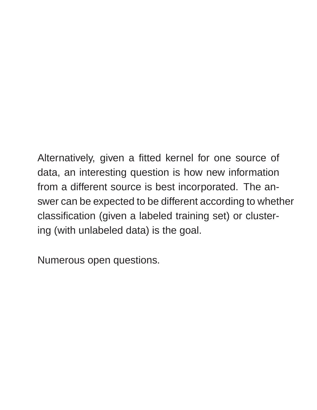Alternatively, given a fitted kernel for one source of data, an interesting question is how new information from a different source is best incorporated. The answer can be expected to be different according to whether classification (given a labeled training set) or clustering (with unlabeled data) is the goal.

Numerous open questions.